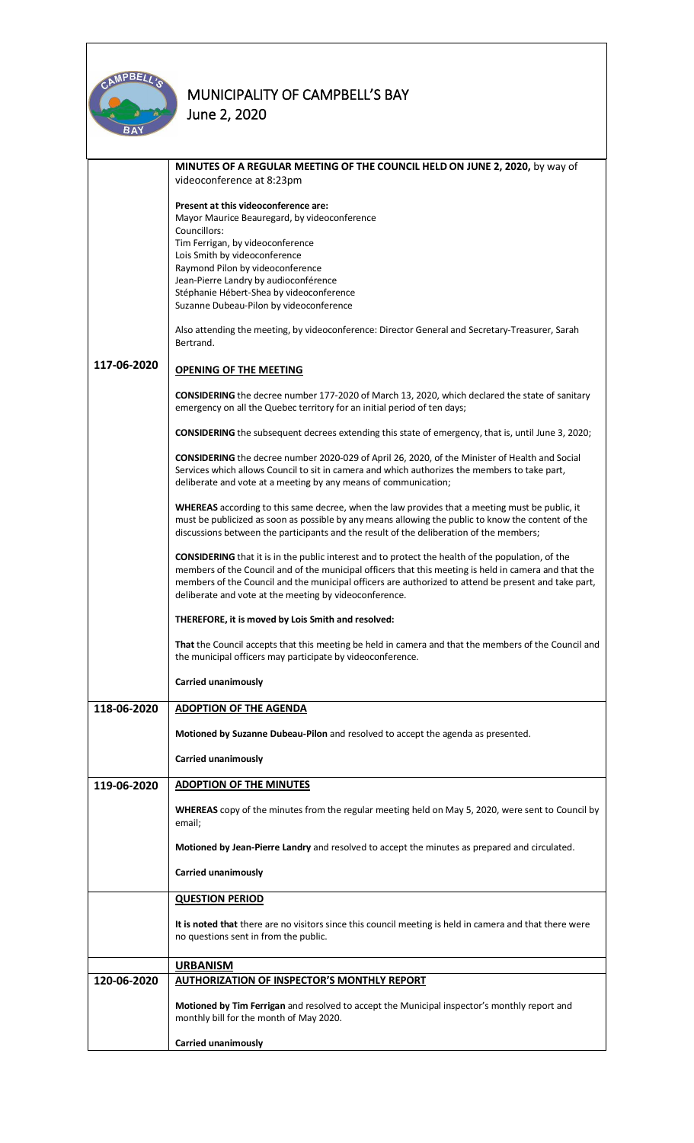

|             | MINUTES OF A REGULAR MEETING OF THE COUNCIL HELD ON JUNE 2, 2020, by way of<br>videoconference at 8:23pm                                                                                                                                                                                                                                                                            |
|-------------|-------------------------------------------------------------------------------------------------------------------------------------------------------------------------------------------------------------------------------------------------------------------------------------------------------------------------------------------------------------------------------------|
|             | Present at this videoconference are:<br>Mayor Maurice Beauregard, by videoconference<br>Councillors:<br>Tim Ferrigan, by videoconference<br>Lois Smith by videoconference<br>Raymond Pilon by videoconference<br>Jean-Pierre Landry by audioconférence<br>Stéphanie Hébert-Shea by videoconference<br>Suzanne Dubeau-Pilon by videoconference                                       |
|             | Also attending the meeting, by videoconference: Director General and Secretary-Treasurer, Sarah<br>Bertrand.                                                                                                                                                                                                                                                                        |
| 117-06-2020 | <b>OPENING OF THE MEETING</b>                                                                                                                                                                                                                                                                                                                                                       |
|             | CONSIDERING the decree number 177-2020 of March 13, 2020, which declared the state of sanitary<br>emergency on all the Quebec territory for an initial period of ten days;                                                                                                                                                                                                          |
|             | <b>CONSIDERING</b> the subsequent decrees extending this state of emergency, that is, until June 3, 2020;                                                                                                                                                                                                                                                                           |
|             | CONSIDERING the decree number 2020-029 of April 26, 2020, of the Minister of Health and Social<br>Services which allows Council to sit in camera and which authorizes the members to take part,<br>deliberate and vote at a meeting by any means of communication;                                                                                                                  |
|             | WHEREAS according to this same decree, when the law provides that a meeting must be public, it<br>must be publicized as soon as possible by any means allowing the public to know the content of the<br>discussions between the participants and the result of the deliberation of the members;                                                                                     |
|             | <b>CONSIDERING</b> that it is in the public interest and to protect the health of the population, of the<br>members of the Council and of the municipal officers that this meeting is held in camera and that the<br>members of the Council and the municipal officers are authorized to attend be present and take part,<br>deliberate and vote at the meeting by videoconference. |
|             | THEREFORE, it is moved by Lois Smith and resolved:                                                                                                                                                                                                                                                                                                                                  |
|             | That the Council accepts that this meeting be held in camera and that the members of the Council and<br>the municipal officers may participate by videoconference.                                                                                                                                                                                                                  |
|             | Carried unanimously                                                                                                                                                                                                                                                                                                                                                                 |
| 118-06-2020 | <b>ADOPTION OF THE AGENDA</b>                                                                                                                                                                                                                                                                                                                                                       |
|             | Motioned by Suzanne Dubeau-Pilon and resolved to accept the agenda as presented.                                                                                                                                                                                                                                                                                                    |
|             | Carried unanimously                                                                                                                                                                                                                                                                                                                                                                 |
| 119-06-2020 | <b>ADOPTION OF THE MINUTES</b>                                                                                                                                                                                                                                                                                                                                                      |
|             | WHEREAS copy of the minutes from the regular meeting held on May 5, 2020, were sent to Council by<br>email;                                                                                                                                                                                                                                                                         |
|             | Motioned by Jean-Pierre Landry and resolved to accept the minutes as prepared and circulated.                                                                                                                                                                                                                                                                                       |
|             | <b>Carried unanimously</b>                                                                                                                                                                                                                                                                                                                                                          |
|             | <b>QUESTION PERIOD</b>                                                                                                                                                                                                                                                                                                                                                              |
|             | It is noted that there are no visitors since this council meeting is held in camera and that there were<br>no questions sent in from the public.                                                                                                                                                                                                                                    |
|             | <b>URBANISM</b>                                                                                                                                                                                                                                                                                                                                                                     |
| 120-06-2020 | <b>AUTHORIZATION OF INSPECTOR'S MONTHLY REPORT</b>                                                                                                                                                                                                                                                                                                                                  |
|             | Motioned by Tim Ferrigan and resolved to accept the Municipal inspector's monthly report and<br>monthly bill for the month of May 2020.                                                                                                                                                                                                                                             |
|             | Carried unanimously                                                                                                                                                                                                                                                                                                                                                                 |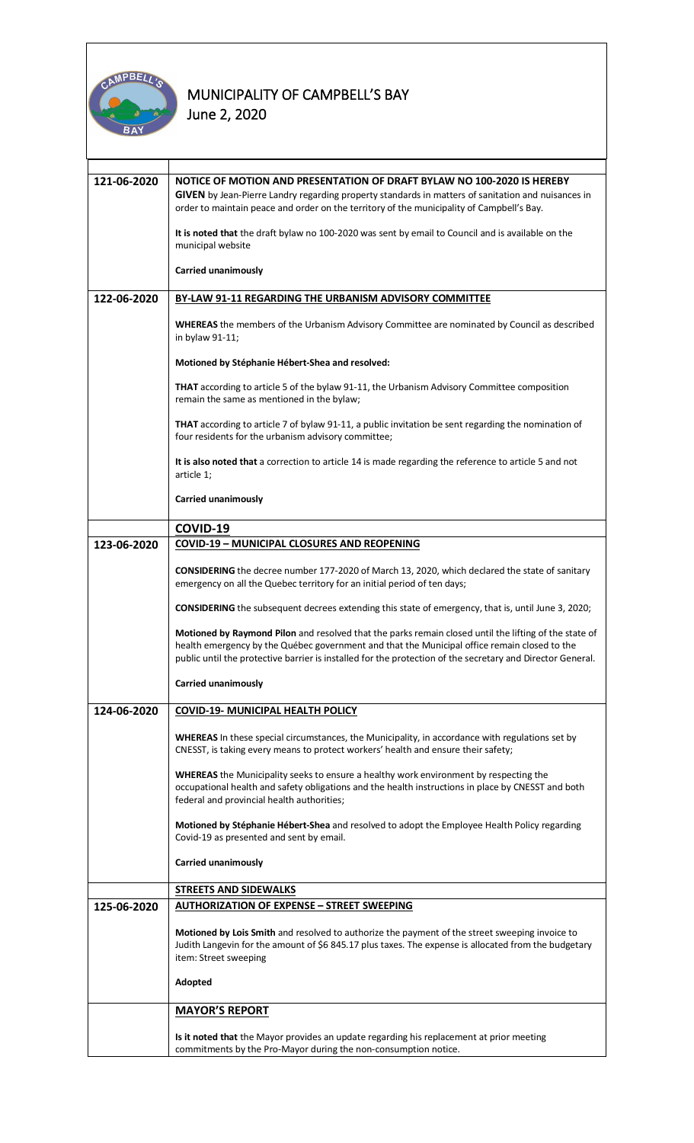

| 121-06-2020 | NOTICE OF MOTION AND PRESENTATION OF DRAFT BYLAW NO 100-2020 IS HEREBY<br>GIVEN by Jean-Pierre Landry regarding property standards in matters of sanitation and nuisances in<br>order to maintain peace and order on the territory of the municipality of Campbell's Bay.<br>It is noted that the draft bylaw no 100-2020 was sent by email to Council and is available on the<br>municipal website<br>Carried unanimously |
|-------------|----------------------------------------------------------------------------------------------------------------------------------------------------------------------------------------------------------------------------------------------------------------------------------------------------------------------------------------------------------------------------------------------------------------------------|
|             |                                                                                                                                                                                                                                                                                                                                                                                                                            |
| 122-06-2020 | BY-LAW 91-11 REGARDING THE URBANISM ADVISORY COMMITTEE                                                                                                                                                                                                                                                                                                                                                                     |
|             | <b>WHEREAS</b> the members of the Urbanism Advisory Committee are nominated by Council as described<br>in bylaw 91-11;                                                                                                                                                                                                                                                                                                     |
|             | Motioned by Stéphanie Hébert-Shea and resolved:                                                                                                                                                                                                                                                                                                                                                                            |
|             | <b>THAT</b> according to article 5 of the bylaw 91-11, the Urbanism Advisory Committee composition<br>remain the same as mentioned in the bylaw;                                                                                                                                                                                                                                                                           |
|             | THAT according to article 7 of bylaw 91-11, a public invitation be sent regarding the nomination of<br>four residents for the urbanism advisory committee;                                                                                                                                                                                                                                                                 |
|             | It is also noted that a correction to article 14 is made regarding the reference to article 5 and not<br>article 1;                                                                                                                                                                                                                                                                                                        |
|             | <b>Carried unanimously</b>                                                                                                                                                                                                                                                                                                                                                                                                 |
|             | COVID-19                                                                                                                                                                                                                                                                                                                                                                                                                   |
| 123-06-2020 | <b>COVID-19 - MUNICIPAL CLOSURES AND REOPENING</b>                                                                                                                                                                                                                                                                                                                                                                         |
|             | <b>CONSIDERING</b> the decree number 177-2020 of March 13, 2020, which declared the state of sanitary<br>emergency on all the Quebec territory for an initial period of ten days;                                                                                                                                                                                                                                          |
|             | <b>CONSIDERING</b> the subsequent decrees extending this state of emergency, that is, until June 3, 2020;                                                                                                                                                                                                                                                                                                                  |
|             | Motioned by Raymond Pilon and resolved that the parks remain closed until the lifting of the state of<br>health emergency by the Québec government and that the Municipal office remain closed to the<br>public until the protective barrier is installed for the protection of the secretary and Director General.                                                                                                        |
|             | Carried unanimously                                                                                                                                                                                                                                                                                                                                                                                                        |
| 124-06-2020 | <b>COVID-19- MUNICIPAL HEALTH POLICY</b>                                                                                                                                                                                                                                                                                                                                                                                   |
|             | WHEREAS In these special circumstances, the Municipality, in accordance with regulations set by<br>CNESST, is taking every means to protect workers' health and ensure their safety;                                                                                                                                                                                                                                       |
|             | <b>WHEREAS</b> the Municipality seeks to ensure a healthy work environment by respecting the<br>occupational health and safety obligations and the health instructions in place by CNESST and both<br>federal and provincial health authorities;                                                                                                                                                                           |
|             | Motioned by Stéphanie Hébert-Shea and resolved to adopt the Employee Health Policy regarding<br>Covid-19 as presented and sent by email.                                                                                                                                                                                                                                                                                   |
|             | <b>Carried unanimously</b>                                                                                                                                                                                                                                                                                                                                                                                                 |
|             | <b>STREETS AND SIDEWALKS</b>                                                                                                                                                                                                                                                                                                                                                                                               |
| 125-06-2020 | <b>AUTHORIZATION OF EXPENSE - STREET SWEEPING</b>                                                                                                                                                                                                                                                                                                                                                                          |
|             | Motioned by Lois Smith and resolved to authorize the payment of the street sweeping invoice to<br>Judith Langevin for the amount of \$6 845.17 plus taxes. The expense is allocated from the budgetary<br>item: Street sweeping                                                                                                                                                                                            |
|             | Adopted                                                                                                                                                                                                                                                                                                                                                                                                                    |
|             | <b>MAYOR'S REPORT</b>                                                                                                                                                                                                                                                                                                                                                                                                      |
|             | Is it noted that the Mayor provides an update regarding his replacement at prior meeting<br>commitments by the Pro-Mayor during the non-consumption notice.                                                                                                                                                                                                                                                                |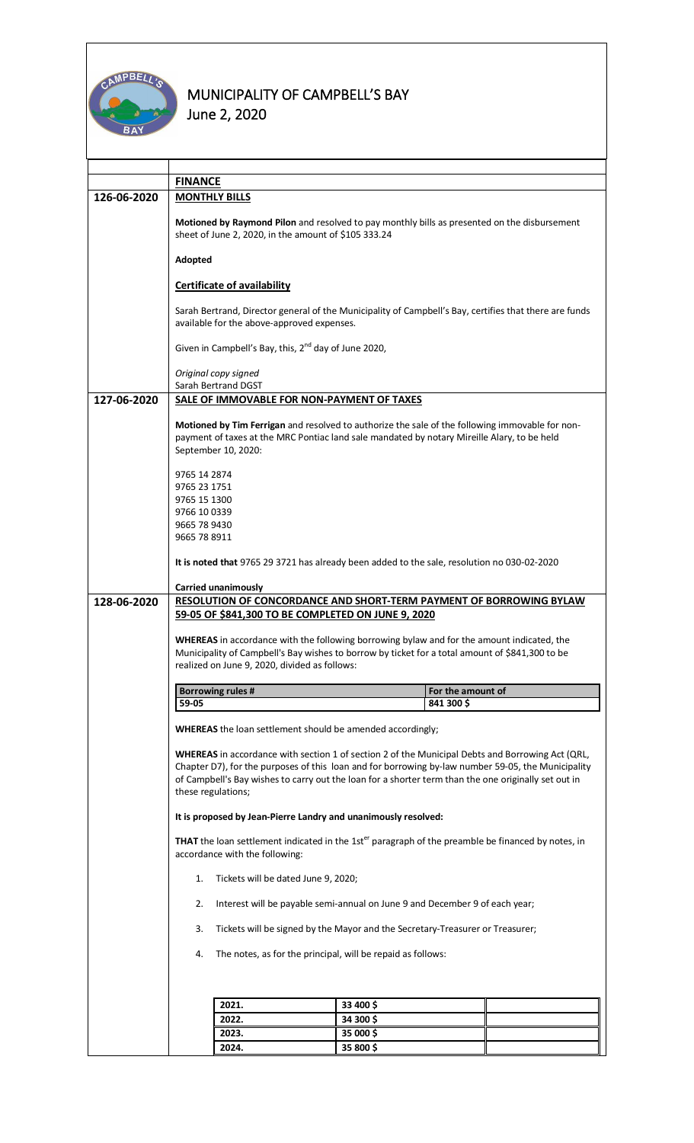

|             | <b>FINANCE</b>                                                                                                                                                                                                                                                                     |                                                                                                                                                      |           |                                 |  |
|-------------|------------------------------------------------------------------------------------------------------------------------------------------------------------------------------------------------------------------------------------------------------------------------------------|------------------------------------------------------------------------------------------------------------------------------------------------------|-----------|---------------------------------|--|
| 126-06-2020 |                                                                                                                                                                                                                                                                                    | <b>MONTHLY BILLS</b>                                                                                                                                 |           |                                 |  |
|             |                                                                                                                                                                                                                                                                                    |                                                                                                                                                      |           |                                 |  |
|             | Motioned by Raymond Pilon and resolved to pay monthly bills as presented on the disbursement<br>sheet of June 2, 2020, in the amount of \$105 333.24                                                                                                                               |                                                                                                                                                      |           |                                 |  |
|             | Adopted                                                                                                                                                                                                                                                                            |                                                                                                                                                      |           |                                 |  |
|             |                                                                                                                                                                                                                                                                                    | <b>Certificate of availability</b>                                                                                                                   |           |                                 |  |
|             |                                                                                                                                                                                                                                                                                    | Sarah Bertrand, Director general of the Municipality of Campbell's Bay, certifies that there are funds<br>available for the above-approved expenses. |           |                                 |  |
|             |                                                                                                                                                                                                                                                                                    | Given in Campbell's Bay, this, 2 <sup>nd</sup> day of June 2020,                                                                                     |           |                                 |  |
|             | Original copy signed<br>Sarah Bertrand DGST                                                                                                                                                                                                                                        |                                                                                                                                                      |           |                                 |  |
| 127-06-2020 |                                                                                                                                                                                                                                                                                    | SALE OF IMMOVABLE FOR NON-PAYMENT OF TAXES                                                                                                           |           |                                 |  |
|             |                                                                                                                                                                                                                                                                                    |                                                                                                                                                      |           |                                 |  |
|             | Motioned by Tim Ferrigan and resolved to authorize the sale of the following immovable for non-<br>payment of taxes at the MRC Pontiac land sale mandated by notary Mireille Alary, to be held<br>September 10, 2020:                                                              |                                                                                                                                                      |           |                                 |  |
|             |                                                                                                                                                                                                                                                                                    |                                                                                                                                                      |           |                                 |  |
|             | 9765 14 2874<br>9765 23 1751                                                                                                                                                                                                                                                       |                                                                                                                                                      |           |                                 |  |
|             | 9765 15 1300                                                                                                                                                                                                                                                                       |                                                                                                                                                      |           |                                 |  |
|             | 9766 10 0339                                                                                                                                                                                                                                                                       |                                                                                                                                                      |           |                                 |  |
|             | 9665 78 9430                                                                                                                                                                                                                                                                       |                                                                                                                                                      |           |                                 |  |
|             | 9665 78 8911                                                                                                                                                                                                                                                                       |                                                                                                                                                      |           |                                 |  |
|             | It is noted that 9765 29 3721 has already been added to the sale, resolution no 030-02-2020                                                                                                                                                                                        |                                                                                                                                                      |           |                                 |  |
|             |                                                                                                                                                                                                                                                                                    |                                                                                                                                                      |           |                                 |  |
| 128-06-2020 | <b>Carried unanimously</b><br>RESOLUTION OF CONCORDANCE AND SHORT-TERM PAYMENT OF BORROWING BYLAW                                                                                                                                                                                  |                                                                                                                                                      |           |                                 |  |
|             | 59-05 OF \$841,300 TO BE COMPLETED ON JUNE 9, 2020                                                                                                                                                                                                                                 |                                                                                                                                                      |           |                                 |  |
|             |                                                                                                                                                                                                                                                                                    |                                                                                                                                                      |           |                                 |  |
|             |                                                                                                                                                                                                                                                                                    | <b>WHEREAS</b> in accordance with the following borrowing bylaw and for the amount indicated, the                                                    |           |                                 |  |
|             |                                                                                                                                                                                                                                                                                    | Municipality of Campbell's Bay wishes to borrow by ticket for a total amount of \$841,300 to be                                                      |           |                                 |  |
|             |                                                                                                                                                                                                                                                                                    | realized on June 9, 2020, divided as follows:                                                                                                        |           |                                 |  |
|             |                                                                                                                                                                                                                                                                                    |                                                                                                                                                      |           |                                 |  |
|             | 59-05                                                                                                                                                                                                                                                                              | <b>Borrowing rules #</b>                                                                                                                             |           | For the amount of<br>841 300 \$ |  |
|             |                                                                                                                                                                                                                                                                                    |                                                                                                                                                      |           |                                 |  |
|             |                                                                                                                                                                                                                                                                                    | <b>WHEREAS</b> the loan settlement should be amended accordingly;                                                                                    |           |                                 |  |
|             |                                                                                                                                                                                                                                                                                    | WHEREAS in accordance with section 1 of section 2 of the Municipal Debts and Borrowing Act (QRL,                                                     |           |                                 |  |
|             |                                                                                                                                                                                                                                                                                    | Chapter D7), for the purposes of this loan and for borrowing by-law number 59-05, the Municipality                                                   |           |                                 |  |
|             |                                                                                                                                                                                                                                                                                    | of Campbell's Bay wishes to carry out the loan for a shorter term than the one originally set out in                                                 |           |                                 |  |
|             | these regulations;                                                                                                                                                                                                                                                                 |                                                                                                                                                      |           |                                 |  |
|             |                                                                                                                                                                                                                                                                                    | It is proposed by Jean-Pierre Landry and unanimously resolved:                                                                                       |           |                                 |  |
|             | THAT the loan settlement indicated in the 1st <sup>er</sup> paragraph of the preamble be financed by notes, in<br>accordance with the following:<br>Tickets will be dated June 9, 2020;<br>1.<br>Interest will be payable semi-annual on June 9 and December 9 of each year;<br>2. |                                                                                                                                                      |           |                                 |  |
|             |                                                                                                                                                                                                                                                                                    |                                                                                                                                                      |           |                                 |  |
|             |                                                                                                                                                                                                                                                                                    |                                                                                                                                                      |           |                                 |  |
|             | 3.                                                                                                                                                                                                                                                                                 | Tickets will be signed by the Mayor and the Secretary-Treasurer or Treasurer;                                                                        |           |                                 |  |
|             | The notes, as for the principal, will be repaid as follows:<br>4.                                                                                                                                                                                                                  |                                                                                                                                                      |           |                                 |  |
|             |                                                                                                                                                                                                                                                                                    |                                                                                                                                                      |           |                                 |  |
|             |                                                                                                                                                                                                                                                                                    |                                                                                                                                                      |           |                                 |  |
|             |                                                                                                                                                                                                                                                                                    | 2021.                                                                                                                                                | 33 400 \$ |                                 |  |
|             |                                                                                                                                                                                                                                                                                    | 2022.                                                                                                                                                | 34 300 \$ |                                 |  |
|             |                                                                                                                                                                                                                                                                                    | 2023.                                                                                                                                                | 35 000 \$ |                                 |  |
|             |                                                                                                                                                                                                                                                                                    | 2024.                                                                                                                                                | 35 800 \$ |                                 |  |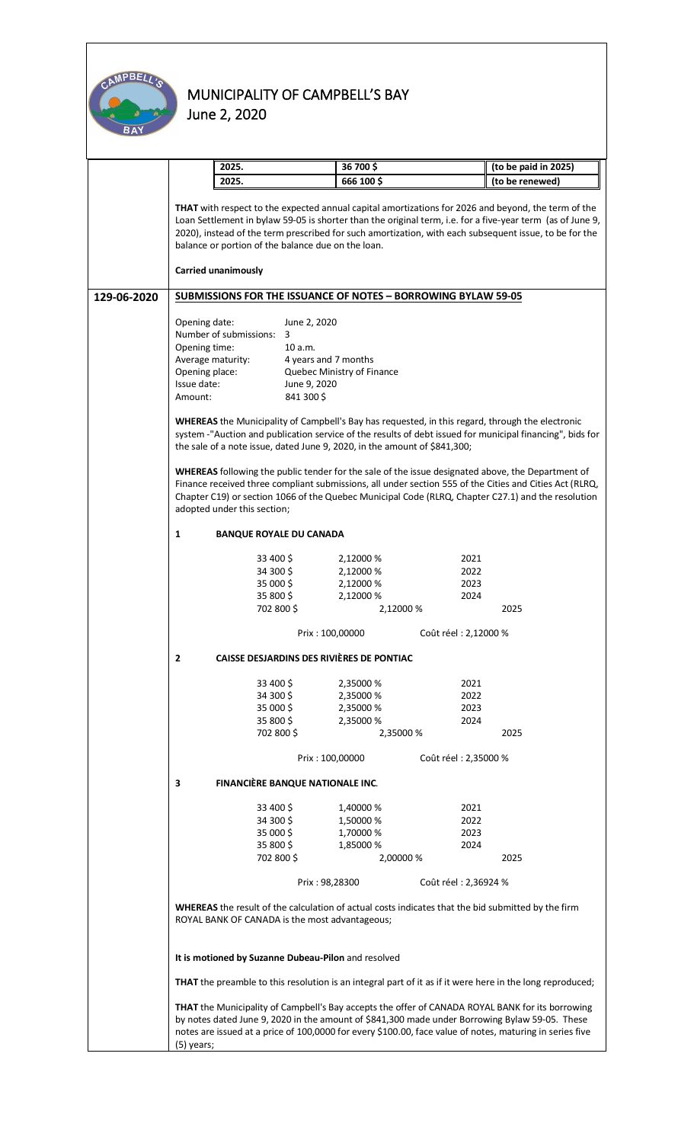

|             | 2025.                                                                                                                                                                                                                                                                                                                                                                                                                                                                                                                                                                                                                                                  |                                          | 36 700 \$                  |      | (to be paid in 2025)                                                                                      |
|-------------|--------------------------------------------------------------------------------------------------------------------------------------------------------------------------------------------------------------------------------------------------------------------------------------------------------------------------------------------------------------------------------------------------------------------------------------------------------------------------------------------------------------------------------------------------------------------------------------------------------------------------------------------------------|------------------------------------------|----------------------------|------|-----------------------------------------------------------------------------------------------------------|
|             | 2025.                                                                                                                                                                                                                                                                                                                                                                                                                                                                                                                                                                                                                                                  |                                          | 666 100\$                  |      | (to be renewed)                                                                                           |
|             | THAT with respect to the expected annual capital amortizations for 2026 and beyond, the term of the<br>Loan Settlement in bylaw 59-05 is shorter than the original term, i.e. for a five-year term (as of June 9,<br>2020), instead of the term prescribed for such amortization, with each subsequent issue, to be for the<br>balance or portion of the balance due on the loan.                                                                                                                                                                                                                                                                      |                                          |                            |      |                                                                                                           |
|             | <b>Carried unanimously</b>                                                                                                                                                                                                                                                                                                                                                                                                                                                                                                                                                                                                                             |                                          |                            |      |                                                                                                           |
| 129-06-2020 | <b>SUBMISSIONS FOR THE ISSUANCE OF NOTES - BORROWING BYLAW 59-05</b>                                                                                                                                                                                                                                                                                                                                                                                                                                                                                                                                                                                   |                                          |                            |      |                                                                                                           |
|             | Opening date:<br>June 2, 2020                                                                                                                                                                                                                                                                                                                                                                                                                                                                                                                                                                                                                          |                                          |                            |      |                                                                                                           |
|             | Number of submissions:                                                                                                                                                                                                                                                                                                                                                                                                                                                                                                                                                                                                                                 | 3                                        |                            |      |                                                                                                           |
|             | Opening time:                                                                                                                                                                                                                                                                                                                                                                                                                                                                                                                                                                                                                                          | 10 a.m.                                  |                            |      |                                                                                                           |
|             | Average maturity:                                                                                                                                                                                                                                                                                                                                                                                                                                                                                                                                                                                                                                      | 4 years and 7 months                     |                            |      |                                                                                                           |
|             | Opening place:                                                                                                                                                                                                                                                                                                                                                                                                                                                                                                                                                                                                                                         |                                          | Quebec Ministry of Finance |      |                                                                                                           |
|             | Issue date:                                                                                                                                                                                                                                                                                                                                                                                                                                                                                                                                                                                                                                            | June 9, 2020                             |                            |      |                                                                                                           |
|             | Amount:                                                                                                                                                                                                                                                                                                                                                                                                                                                                                                                                                                                                                                                | 841 300 \$                               |                            |      |                                                                                                           |
|             |                                                                                                                                                                                                                                                                                                                                                                                                                                                                                                                                                                                                                                                        |                                          |                            |      |                                                                                                           |
|             | <b>WHEREAS</b> the Municipality of Campbell's Bay has requested, in this regard, through the electronic<br>system -"Auction and publication service of the results of debt issued for municipal financing", bids for<br>the sale of a note issue, dated June 9, 2020, in the amount of \$841,300;<br>WHEREAS following the public tender for the sale of the issue designated above, the Department of<br>Finance received three compliant submissions, all under section 555 of the Cities and Cities Act (RLRQ,<br>Chapter C19) or section 1066 of the Quebec Municipal Code (RLRQ, Chapter C27.1) and the resolution<br>adopted under this section; |                                          |                            |      |                                                                                                           |
|             | 1<br><b>BANQUE ROYALE DU CANADA</b>                                                                                                                                                                                                                                                                                                                                                                                                                                                                                                                                                                                                                    |                                          |                            |      |                                                                                                           |
|             |                                                                                                                                                                                                                                                                                                                                                                                                                                                                                                                                                                                                                                                        |                                          |                            |      |                                                                                                           |
|             | 33 400 \$                                                                                                                                                                                                                                                                                                                                                                                                                                                                                                                                                                                                                                              |                                          | 2,12000 %                  | 2021 |                                                                                                           |
|             | 34 300 \$                                                                                                                                                                                                                                                                                                                                                                                                                                                                                                                                                                                                                                              |                                          | 2,12000 %                  | 2022 |                                                                                                           |
|             | 35 000 \$                                                                                                                                                                                                                                                                                                                                                                                                                                                                                                                                                                                                                                              |                                          | 2,12000 %                  | 2023 |                                                                                                           |
|             | 35 800 \$                                                                                                                                                                                                                                                                                                                                                                                                                                                                                                                                                                                                                                              |                                          | 2,12000 %                  | 2024 |                                                                                                           |
|             | 702 800 \$                                                                                                                                                                                                                                                                                                                                                                                                                                                                                                                                                                                                                                             |                                          | 2,12000 %                  |      | 2025                                                                                                      |
|             |                                                                                                                                                                                                                                                                                                                                                                                                                                                                                                                                                                                                                                                        |                                          |                            |      |                                                                                                           |
|             | Coût réel : 2,12000 %<br>Prix: 100,00000<br>CAISSE DESJARDINS DES RIVIÈRES DE PONTIAC<br>z                                                                                                                                                                                                                                                                                                                                                                                                                                                                                                                                                             |                                          |                            |      |                                                                                                           |
|             |                                                                                                                                                                                                                                                                                                                                                                                                                                                                                                                                                                                                                                                        |                                          |                            |      |                                                                                                           |
|             | 33 400 \$                                                                                                                                                                                                                                                                                                                                                                                                                                                                                                                                                                                                                                              |                                          | 2,35000 %                  | 2021 |                                                                                                           |
|             | 34 300 \$                                                                                                                                                                                                                                                                                                                                                                                                                                                                                                                                                                                                                                              |                                          | 2,35000 %                  | 2022 |                                                                                                           |
|             | 35 000 \$                                                                                                                                                                                                                                                                                                                                                                                                                                                                                                                                                                                                                                              |                                          | 2,35000 %                  | 2023 |                                                                                                           |
|             | 35 800 \$                                                                                                                                                                                                                                                                                                                                                                                                                                                                                                                                                                                                                                              |                                          | 2,35000 %                  | 2024 |                                                                                                           |
|             | 702 800 \$                                                                                                                                                                                                                                                                                                                                                                                                                                                                                                                                                                                                                                             |                                          | 2,35000 %                  |      | 2025                                                                                                      |
|             |                                                                                                                                                                                                                                                                                                                                                                                                                                                                                                                                                                                                                                                        |                                          |                            |      |                                                                                                           |
|             |                                                                                                                                                                                                                                                                                                                                                                                                                                                                                                                                                                                                                                                        | Prix: 100,00000<br>Coût réel : 2,35000 % |                            |      |                                                                                                           |
|             | FINANCIÈRE BANQUE NATIONALE INC.<br>3                                                                                                                                                                                                                                                                                                                                                                                                                                                                                                                                                                                                                  |                                          |                            |      |                                                                                                           |
|             | 33 400 \$                                                                                                                                                                                                                                                                                                                                                                                                                                                                                                                                                                                                                                              |                                          | 1,40000 %                  | 2021 |                                                                                                           |
|             | 34 300 \$                                                                                                                                                                                                                                                                                                                                                                                                                                                                                                                                                                                                                                              |                                          | 1,50000 %                  | 2022 |                                                                                                           |
|             | 35 000 \$                                                                                                                                                                                                                                                                                                                                                                                                                                                                                                                                                                                                                                              |                                          | 1,70000 %                  | 2023 |                                                                                                           |
|             | 35 800 \$                                                                                                                                                                                                                                                                                                                                                                                                                                                                                                                                                                                                                                              |                                          | 1,85000 %                  | 2024 |                                                                                                           |
|             | 702 800 \$                                                                                                                                                                                                                                                                                                                                                                                                                                                                                                                                                                                                                                             |                                          | 2,00000 %                  |      | 2025                                                                                                      |
|             |                                                                                                                                                                                                                                                                                                                                                                                                                                                                                                                                                                                                                                                        |                                          |                            |      |                                                                                                           |
|             | Prix: 98,28300<br>Coût réel : 2,36924 %<br>WHEREAS the result of the calculation of actual costs indicates that the bid submitted by the firm<br>ROYAL BANK OF CANADA is the most advantageous;                                                                                                                                                                                                                                                                                                                                                                                                                                                        |                                          |                            |      |                                                                                                           |
|             | It is motioned by Suzanne Dubeau-Pilon and resolved                                                                                                                                                                                                                                                                                                                                                                                                                                                                                                                                                                                                    |                                          |                            |      |                                                                                                           |
|             |                                                                                                                                                                                                                                                                                                                                                                                                                                                                                                                                                                                                                                                        |                                          |                            |      | THAT the preamble to this resolution is an integral part of it as if it were here in the long reproduced; |
|             | THAT the Municipality of Campbell's Bay accepts the offer of CANADA ROYAL BANK for its borrowing<br>by notes dated June 9, 2020 in the amount of \$841,300 made under Borrowing Bylaw 59-05. These                                                                                                                                                                                                                                                                                                                                                                                                                                                     |                                          |                            |      |                                                                                                           |
|             | notes are issued at a price of 100,0000 for every \$100.00, face value of notes, maturing in series five<br>(5) years;                                                                                                                                                                                                                                                                                                                                                                                                                                                                                                                                 |                                          |                            |      |                                                                                                           |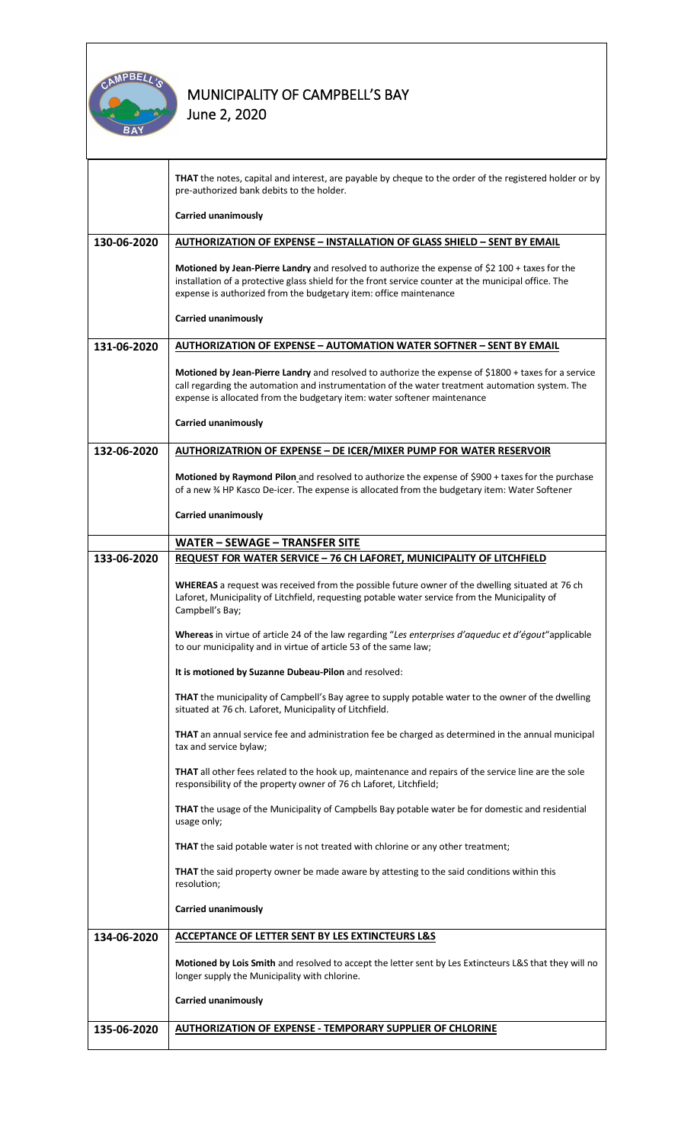

|             | <b>THAT</b> the notes, capital and interest, are payable by cheque to the order of the registered holder or by<br>pre-authorized bank debits to the holder.                                                                                                                         |  |  |  |  |
|-------------|-------------------------------------------------------------------------------------------------------------------------------------------------------------------------------------------------------------------------------------------------------------------------------------|--|--|--|--|
|             | <b>Carried unanimously</b>                                                                                                                                                                                                                                                          |  |  |  |  |
| 130-06-2020 | <b>AUTHORIZATION OF EXPENSE - INSTALLATION OF GLASS SHIELD - SENT BY EMAIL</b>                                                                                                                                                                                                      |  |  |  |  |
|             | Motioned by Jean-Pierre Landry and resolved to authorize the expense of \$2 100 + taxes for the<br>installation of a protective glass shield for the front service counter at the municipal office. The<br>expense is authorized from the budgetary item: office maintenance        |  |  |  |  |
|             | Carried unanimously                                                                                                                                                                                                                                                                 |  |  |  |  |
| 131-06-2020 | <b>AUTHORIZATION OF EXPENSE - AUTOMATION WATER SOFTNER - SENT BY EMAIL</b>                                                                                                                                                                                                          |  |  |  |  |
|             | Motioned by Jean-Pierre Landry and resolved to authorize the expense of \$1800 + taxes for a service<br>call regarding the automation and instrumentation of the water treatment automation system. The<br>expense is allocated from the budgetary item: water softener maintenance |  |  |  |  |
|             | <b>Carried unanimously</b>                                                                                                                                                                                                                                                          |  |  |  |  |
| 132-06-2020 | <b>AUTHORIZATRION OF EXPENSE - DE ICER/MIXER PUMP FOR WATER RESERVOIR</b>                                                                                                                                                                                                           |  |  |  |  |
|             | Motioned by Raymond Pilon and resolved to authorize the expense of \$900 + taxes for the purchase<br>of a new % HP Kasco De-icer. The expense is allocated from the budgetary item: Water Softener                                                                                  |  |  |  |  |
|             | <b>Carried unanimously</b>                                                                                                                                                                                                                                                          |  |  |  |  |
|             | <b>WATER - SEWAGE - TRANSFER SITE</b>                                                                                                                                                                                                                                               |  |  |  |  |
| 133-06-2020 | <b>REQUEST FOR WATER SERVICE - 76 CH LAFORET, MUNICIPALITY OF LITCHFIELD</b>                                                                                                                                                                                                        |  |  |  |  |
|             | WHEREAS a request was received from the possible future owner of the dwelling situated at 76 ch<br>Laforet, Municipality of Litchfield, requesting potable water service from the Municipality of<br>Campbell's Bay;                                                                |  |  |  |  |
|             | Whereas in virtue of article 24 of the law regarding "Les enterprises d'aqueduc et d'égout"applicable<br>to our municipality and in virtue of article 53 of the same law;                                                                                                           |  |  |  |  |
|             | It is motioned by Suzanne Dubeau-Pilon and resolved:                                                                                                                                                                                                                                |  |  |  |  |
|             | THAT the municipality of Campbell's Bay agree to supply potable water to the owner of the dwelling<br>situated at 76 ch. Laforet, Municipality of Litchfield.                                                                                                                       |  |  |  |  |
|             | THAT an annual service fee and administration fee be charged as determined in the annual municipal<br>tax and service bylaw;                                                                                                                                                        |  |  |  |  |
|             | <b>THAT</b> all other fees related to the hook up, maintenance and repairs of the service line are the sole<br>responsibility of the property owner of 76 ch Laforet, Litchfield;                                                                                                   |  |  |  |  |
|             | <b>THAT</b> the usage of the Municipality of Campbells Bay potable water be for domestic and residential<br>usage only;                                                                                                                                                             |  |  |  |  |
|             | <b>THAT</b> the said potable water is not treated with chlorine or any other treatment;                                                                                                                                                                                             |  |  |  |  |
|             | <b>THAT</b> the said property owner be made aware by attesting to the said conditions within this<br>resolution;                                                                                                                                                                    |  |  |  |  |
|             | <b>Carried unanimously</b>                                                                                                                                                                                                                                                          |  |  |  |  |
| 134-06-2020 | ACCEPTANCE OF LETTER SENT BY LES EXTINCTEURS L&S                                                                                                                                                                                                                                    |  |  |  |  |
|             | Motioned by Lois Smith and resolved to accept the letter sent by Les Extincteurs L&S that they will no<br>longer supply the Municipality with chlorine.                                                                                                                             |  |  |  |  |
|             | <b>Carried unanimously</b>                                                                                                                                                                                                                                                          |  |  |  |  |
| 135-06-2020 | <b>AUTHORIZATION OF EXPENSE - TEMPORARY SUPPLIER OF CHLORINE</b>                                                                                                                                                                                                                    |  |  |  |  |
|             |                                                                                                                                                                                                                                                                                     |  |  |  |  |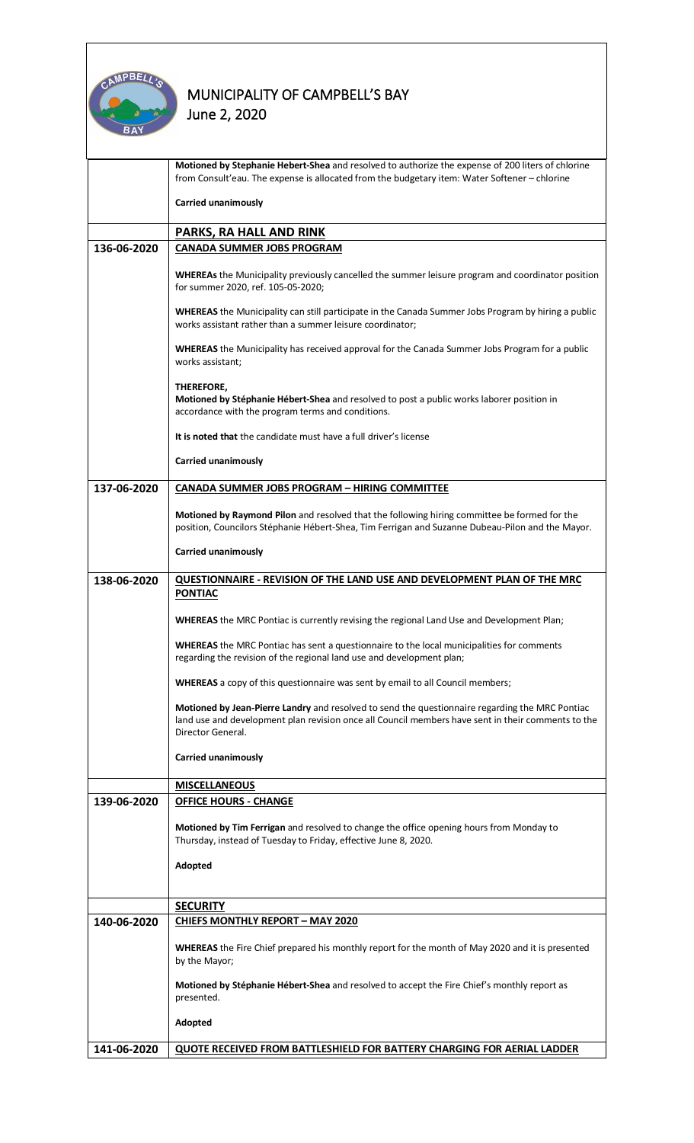

|             | Motioned by Stephanie Hebert-Shea and resolved to authorize the expense of 200 liters of chlorine<br>from Consult'eau. The expense is allocated from the budgetary item: Water Softener - chlorine                         |  |  |  |
|-------------|----------------------------------------------------------------------------------------------------------------------------------------------------------------------------------------------------------------------------|--|--|--|
|             | Carried unanimously                                                                                                                                                                                                        |  |  |  |
|             | PARKS, RA HALL AND RINK                                                                                                                                                                                                    |  |  |  |
| 136-06-2020 | <b>CANADA SUMMER JOBS PROGRAM</b>                                                                                                                                                                                          |  |  |  |
|             | WHEREAs the Municipality previously cancelled the summer leisure program and coordinator position<br>for summer 2020, ref. 105-05-2020;                                                                                    |  |  |  |
|             | WHEREAS the Municipality can still participate in the Canada Summer Jobs Program by hiring a public<br>works assistant rather than a summer leisure coordinator;                                                           |  |  |  |
|             | <b>WHEREAS</b> the Municipality has received approval for the Canada Summer Jobs Program for a public<br>works assistant;                                                                                                  |  |  |  |
|             | THEREFORE,<br>Motioned by Stéphanie Hébert-Shea and resolved to post a public works laborer position in<br>accordance with the program terms and conditions.                                                               |  |  |  |
|             | It is noted that the candidate must have a full driver's license                                                                                                                                                           |  |  |  |
|             | Carried unanimously                                                                                                                                                                                                        |  |  |  |
| 137-06-2020 | <b>CANADA SUMMER JOBS PROGRAM - HIRING COMMITTEE</b>                                                                                                                                                                       |  |  |  |
|             | Motioned by Raymond Pilon and resolved that the following hiring committee be formed for the<br>position, Councilors Stéphanie Hébert-Shea, Tim Ferrigan and Suzanne Dubeau-Pilon and the Mayor.                           |  |  |  |
|             | Carried unanimously                                                                                                                                                                                                        |  |  |  |
|             |                                                                                                                                                                                                                            |  |  |  |
| 138-06-2020 | QUESTIONNAIRE - REVISION OF THE LAND USE AND DEVELOPMENT PLAN OF THE MRC<br><b>PONTIAC</b>                                                                                                                                 |  |  |  |
|             | WHEREAS the MRC Pontiac is currently revising the regional Land Use and Development Plan;                                                                                                                                  |  |  |  |
|             | <b>WHEREAS</b> the MRC Pontiac has sent a questionnaire to the local municipalities for comments<br>regarding the revision of the regional land use and development plan;                                                  |  |  |  |
|             | <b>WHEREAS</b> a copy of this questionnaire was sent by email to all Council members;                                                                                                                                      |  |  |  |
|             | Motioned by Jean-Pierre Landry and resolved to send the questionnaire regarding the MRC Pontiac<br>land use and development plan revision once all Council members have sent in their comments to the<br>Director General. |  |  |  |
|             | <b>Carried unanimously</b>                                                                                                                                                                                                 |  |  |  |
|             | <b>MISCELLANEOUS</b>                                                                                                                                                                                                       |  |  |  |
| 139-06-2020 | <b>OFFICE HOURS - CHANGE</b>                                                                                                                                                                                               |  |  |  |
|             | Motioned by Tim Ferrigan and resolved to change the office opening hours from Monday to<br>Thursday, instead of Tuesday to Friday, effective June 8, 2020.                                                                 |  |  |  |
|             | Adopted                                                                                                                                                                                                                    |  |  |  |
|             |                                                                                                                                                                                                                            |  |  |  |
|             | <b>SECURITY</b>                                                                                                                                                                                                            |  |  |  |
| 140-06-2020 | <b>CHIEFS MONTHLY REPORT - MAY 2020</b>                                                                                                                                                                                    |  |  |  |
|             | <b>WHEREAS</b> the Fire Chief prepared his monthly report for the month of May 2020 and it is presented<br>by the Mayor;                                                                                                   |  |  |  |
|             | Motioned by Stéphanie Hébert-Shea and resolved to accept the Fire Chief's monthly report as<br>presented.                                                                                                                  |  |  |  |
|             | Adopted                                                                                                                                                                                                                    |  |  |  |
| 141-06-2020 | QUOTE RECEIVED FROM BATTLESHIELD FOR BATTERY CHARGING FOR AERIAL LADDER                                                                                                                                                    |  |  |  |